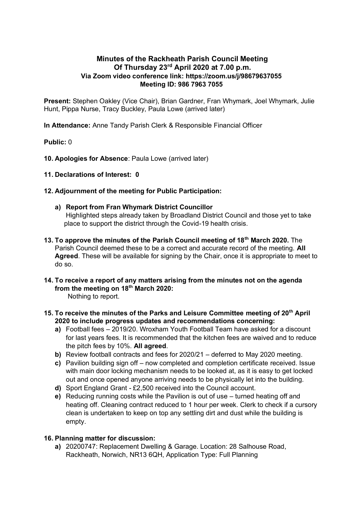# **Minutes of the Rackheath Parish Council Meeting Of Thursday 23 rd April 2020 at 7.00 p.m. Via Zoom video conference link: https://zoom.us/j/98679637055 Meeting ID: 986 7963 7055**

**Present:** Stephen Oakley (Vice Chair), Brian Gardner, Fran Whymark, Joel Whymark, Julie Hunt, Pippa Nurse, Tracy Buckley, Paula Lowe (arrived later)

**In Attendance:** Anne Tandy Parish Clerk & Responsible Financial Officer

## **Public:** 0

**10. Apologies for Absence**: Paula Lowe (arrived later)

**11. Declarations of Interest: 0**

## **12. Adjournment of the meeting for Public Participation:**

- **a) Report from Fran Whymark District Councillor** Highlighted steps already taken by Broadland District Council and those yet to take place to support the district through the Covid-19 health crisis.
- **13. To approve the minutes of the Parish Council meeting of 18th March 2020.** The Parish Council deemed these to be a correct and accurate record of the meeting. **All Agreed**. These will be available for signing by the Chair, once it is appropriate to meet to do so.
- **14. To receive a report of any matters arising from the minutes not on the agenda from the meeting on 18th March 2020:**

Nothing to report.

- **15. To receive the minutes of the Parks and Leisure Committee meeting of 20th April 2020 to include progress updates and recommendations concerning:** 
	- **a)** Football fees 2019/20. Wroxham Youth Football Team have asked for a discount for last years fees. It is recommended that the kitchen fees are waived and to reduce the pitch fees by 10%. **All agreed**.
	- **b)** Review football contracts and fees for 2020/21 deferred to May 2020 meeting.
	- **c)** Pavilion building sign off now completed and completion certificate received. Issue with main door locking mechanism needs to be looked at, as it is easy to get locked out and once opened anyone arriving needs to be physically let into the building.
	- **d)** Sport England Grant £2,500 received into the Council account.
	- **e)** Reducing running costs while the Pavilion is out of use turned heating off and heating off. Cleaning contract reduced to 1 hour per week. Clerk to check if a cursory clean is undertaken to keep on top any settling dirt and dust while the building is empty.

### **16. Planning matter for discussion:**

**a)** 20200747: Replacement Dwelling & Garage. Location: 28 Salhouse Road, Rackheath, Norwich, NR13 6QH, Application Type: Full Planning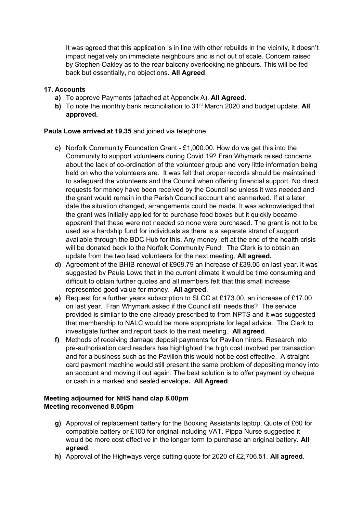It was agreed that this application is in line with other rebuilds in the vicinity, it doesn't impact negatively on immediate neighbours and is not out of scale. Concern raised by Stephen Oakley as to the rear balcony overlooking neighbours. This will be fed back but essentially, no objections. **All Agreed**.

## **17. Accounts**

- **a)** To approve Payments (attached at Appendix A). **All Agreed**.
- **b)** To note the monthly bank reconciliation to 31<sup>st</sup> March 2020 and budget update. All **approved.**

### **Paula Lowe arrived at 19.35** and joined via telephone.

- **c)** Norfolk Community Foundation Grant £1,000.00. How do we get this into the Community to support volunteers during Covid 19? Fran Whymark raised concerns about the lack of co-ordination of the volunteer group and very little information being held on who the volunteers are. It was felt that proper records should be maintained to safeguard the volunteers and the Council when offering financial support. No direct requests for money have been received by the Council so unless it was needed and the grant would remain in the Parish Council account and earmarked. If at a later date the situation changed, arrangements could be made. It was acknowledged that the grant was initially applied for to purchase food boxes but it quickly became apparent that these were not needed so none were purchased. The grant is not to be used as a hardship fund for individuals as there is a separate strand of support available through the BDC Hub for this. Any money left at the end of the health crisis will be donated back to the Norfolk Community Fund. The Clerk is to obtain an update from the two lead volunteers for the next meeting. **All agreed.**
- **d)** Agreement of the BHIB renewal of £968.79 an increase of £39.05 on last year. It was suggested by Paula Lowe that in the current climate it would be time consuming and difficult to obtain further quotes and all members felt that this small increase represented good value for money. **All agreed**.
- **e)** Request for a further years subscription to SLCC at £173.00, an increase of £17.00 on last year. Fran Whymark asked if the Council still needs this? The service provided is similar to the one already prescribed to from NPTS and it was suggested that membership to NALC would be more appropriate for legal advice. The Clerk to investigate further and report back to the next meeting. **All agreed**.
- **f)** Methods of receiving damage deposit payments for Pavilion hirers. Research into pre-authorisation card readers has highlighted the high cost involved per transaction and for a business such as the Pavilion this would not be cost effective. A straight card payment machine would still present the same problem of depositing money into an account and moving it out again. The best solution is to offer payment by cheque or cash in a marked and sealed envelope**. All Agreed**.

## **Meeting adjourned for NHS hand clap 8.00pm Meeting reconvened 8.05pm**

- **g)** Approval of replacement battery for the Booking Assistants laptop. Quote of £60 for compatible battery or £100 for original including VAT. Pippa Nurse suggested it would be more cost effective in the longer term to purchase an original battery. **All agreed**.
- **h)** Approval of the Highways verge cutting quote for 2020 of £2,706.51. **All agreed**.